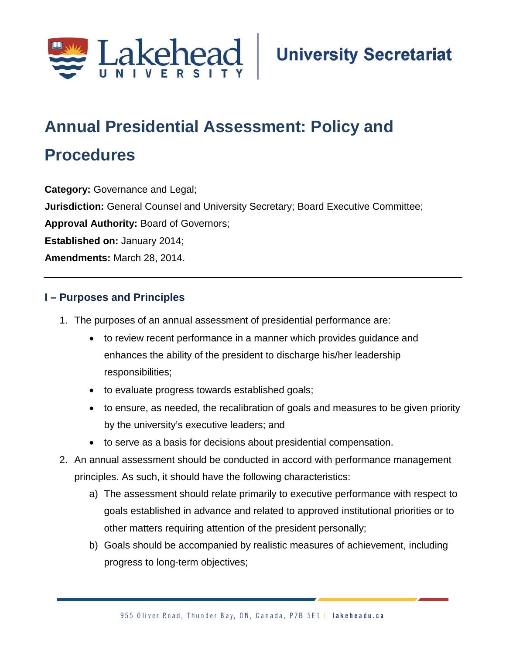

# **Annual Presidential Assessment: Policy and**

## **Procedures**

**Category:** Governance and Legal;

**Jurisdiction:** General Counsel and University Secretary; Board Executive Committee;

**Approval Authority:** Board of Governors;

**Established on:** January 2014;

**Amendments:** March 28, 2014.

#### **I – Purposes and Principles**

- 1. The purposes of an annual assessment of presidential performance are:
	- to review recent performance in a manner which provides guidance and enhances the ability of the president to discharge his/her leadership responsibilities;
	- to evaluate progress towards established goals;
	- to ensure, as needed, the recalibration of goals and measures to be given priority by the university's executive leaders; and
	- to serve as a basis for decisions about presidential compensation.
- 2. An annual assessment should be conducted in accord with performance management principles. As such, it should have the following characteristics:
	- a) The assessment should relate primarily to executive performance with respect to goals established in advance and related to approved institutional priorities or to other matters requiring attention of the president personally;
	- b) Goals should be accompanied by realistic measures of achievement, including progress to long-term objectives;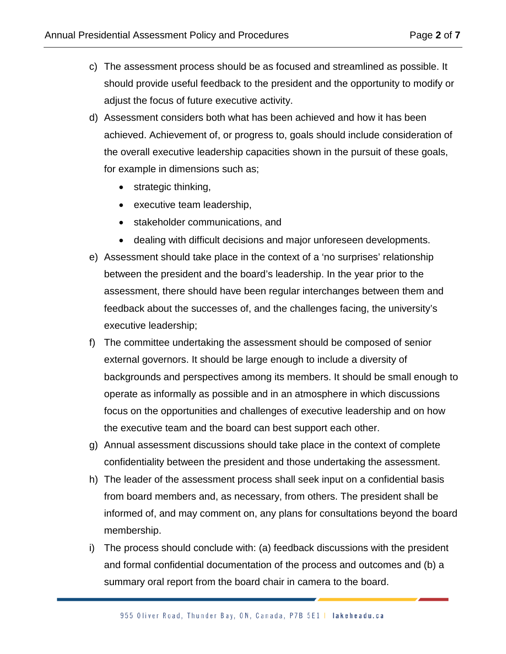- c) The assessment process should be as focused and streamlined as possible. It should provide useful feedback to the president and the opportunity to modify or adjust the focus of future executive activity.
- d) Assessment considers both what has been achieved and how it has been achieved. Achievement of, or progress to, goals should include consideration of the overall executive leadership capacities shown in the pursuit of these goals, for example in dimensions such as;
	- strategic thinking,
	- executive team leadership,
	- stakeholder communications, and
	- dealing with difficult decisions and major unforeseen developments.
- e) Assessment should take place in the context of a 'no surprises' relationship between the president and the board's leadership. In the year prior to the assessment, there should have been regular interchanges between them and feedback about the successes of, and the challenges facing, the university's executive leadership;
- f) The committee undertaking the assessment should be composed of senior external governors. It should be large enough to include a diversity of backgrounds and perspectives among its members. It should be small enough to operate as informally as possible and in an atmosphere in which discussions focus on the opportunities and challenges of executive leadership and on how the executive team and the board can best support each other.
- g) Annual assessment discussions should take place in the context of complete confidentiality between the president and those undertaking the assessment.
- h) The leader of the assessment process shall seek input on a confidential basis from board members and, as necessary, from others. The president shall be informed of, and may comment on, any plans for consultations beyond the board membership.
- i) The process should conclude with: (a) feedback discussions with the president and formal confidential documentation of the process and outcomes and (b) a summary oral report from the board chair in camera to the board.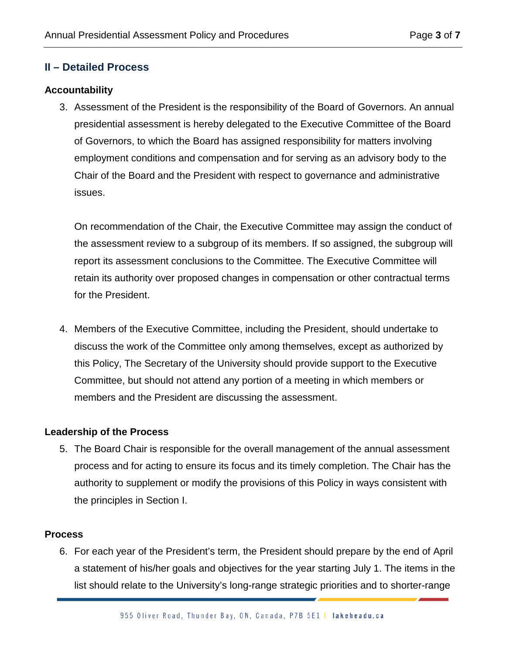#### **II – Detailed Process**

#### **Accountability**

3. Assessment of the President is the responsibility of the Board of Governors. An annual presidential assessment is hereby delegated to the Executive Committee of the Board of Governors, to which the Board has assigned responsibility for matters involving employment conditions and compensation and for serving as an advisory body to the Chair of the Board and the President with respect to governance and administrative issues.

On recommendation of the Chair, the Executive Committee may assign the conduct of the assessment review to a subgroup of its members. If so assigned, the subgroup will report its assessment conclusions to the Committee. The Executive Committee will retain its authority over proposed changes in compensation or other contractual terms for the President.

4. Members of the Executive Committee, including the President, should undertake to discuss the work of the Committee only among themselves, except as authorized by this Policy, The Secretary of the University should provide support to the Executive Committee, but should not attend any portion of a meeting in which members or members and the President are discussing the assessment.

#### **Leadership of the Process**

5. The Board Chair is responsible for the overall management of the annual assessment process and for acting to ensure its focus and its timely completion. The Chair has the authority to supplement or modify the provisions of this Policy in ways consistent with the principles in Section I.

#### **Process**

6. For each year of the President's term, the President should prepare by the end of April a statement of his/her goals and objectives for the year starting July 1. The items in the list should relate to the University's long-range strategic priorities and to shorter-range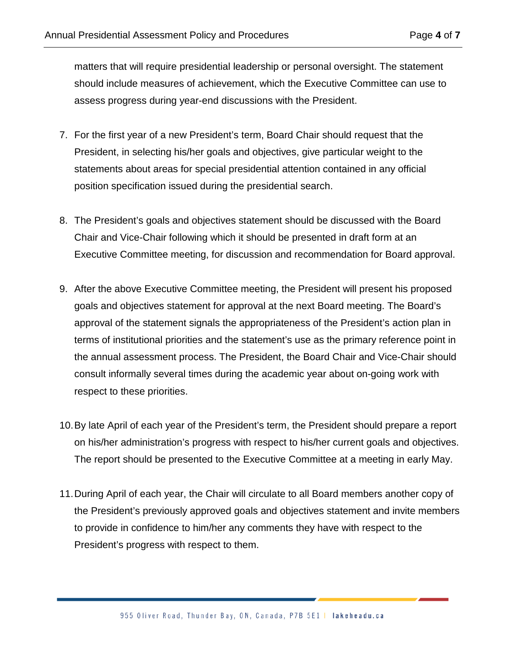matters that will require presidential leadership or personal oversight. The statement should include measures of achievement, which the Executive Committee can use to assess progress during year-end discussions with the President.

- 7. For the first year of a new President's term, Board Chair should request that the President, in selecting his/her goals and objectives, give particular weight to the statements about areas for special presidential attention contained in any official position specification issued during the presidential search.
- 8. The President's goals and objectives statement should be discussed with the Board Chair and Vice-Chair following which it should be presented in draft form at an Executive Committee meeting, for discussion and recommendation for Board approval.
- 9. After the above Executive Committee meeting, the President will present his proposed goals and objectives statement for approval at the next Board meeting. The Board's approval of the statement signals the appropriateness of the President's action plan in terms of institutional priorities and the statement's use as the primary reference point in the annual assessment process. The President, the Board Chair and Vice-Chair should consult informally several times during the academic year about on-going work with respect to these priorities.
- 10.By late April of each year of the President's term, the President should prepare a report on his/her administration's progress with respect to his/her current goals and objectives. The report should be presented to the Executive Committee at a meeting in early May.
- 11.During April of each year, the Chair will circulate to all Board members another copy of the President's previously approved goals and objectives statement and invite members to provide in confidence to him/her any comments they have with respect to the President's progress with respect to them.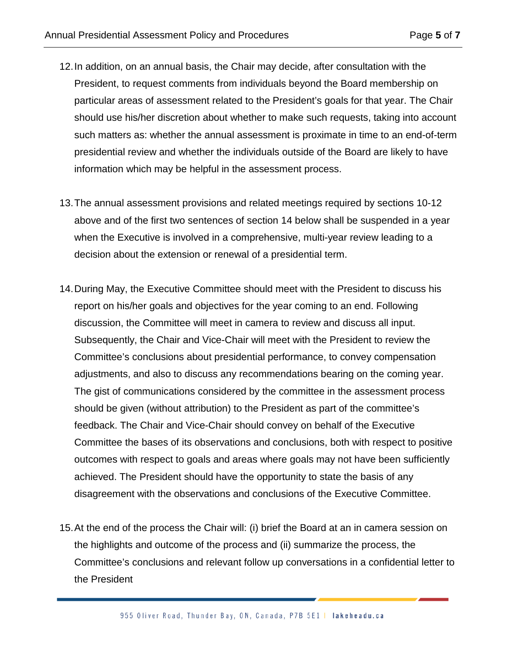- 12.In addition, on an annual basis, the Chair may decide, after consultation with the President, to request comments from individuals beyond the Board membership on particular areas of assessment related to the President's goals for that year. The Chair should use his/her discretion about whether to make such requests, taking into account such matters as: whether the annual assessment is proximate in time to an end-of-term presidential review and whether the individuals outside of the Board are likely to have information which may be helpful in the assessment process.
- 13.The annual assessment provisions and related meetings required by sections 10-12 above and of the first two sentences of section 14 below shall be suspended in a year when the Executive is involved in a comprehensive, multi-year review leading to a decision about the extension or renewal of a presidential term.
- 14.During May, the Executive Committee should meet with the President to discuss his report on his/her goals and objectives for the year coming to an end. Following discussion, the Committee will meet in camera to review and discuss all input. Subsequently, the Chair and Vice-Chair will meet with the President to review the Committee's conclusions about presidential performance, to convey compensation adjustments, and also to discuss any recommendations bearing on the coming year. The gist of communications considered by the committee in the assessment process should be given (without attribution) to the President as part of the committee's feedback. The Chair and Vice-Chair should convey on behalf of the Executive Committee the bases of its observations and conclusions, both with respect to positive outcomes with respect to goals and areas where goals may not have been sufficiently achieved. The President should have the opportunity to state the basis of any disagreement with the observations and conclusions of the Executive Committee.
- 15.At the end of the process the Chair will: (i) brief the Board at an in camera session on the highlights and outcome of the process and (ii) summarize the process, the Committee's conclusions and relevant follow up conversations in a confidential letter to the President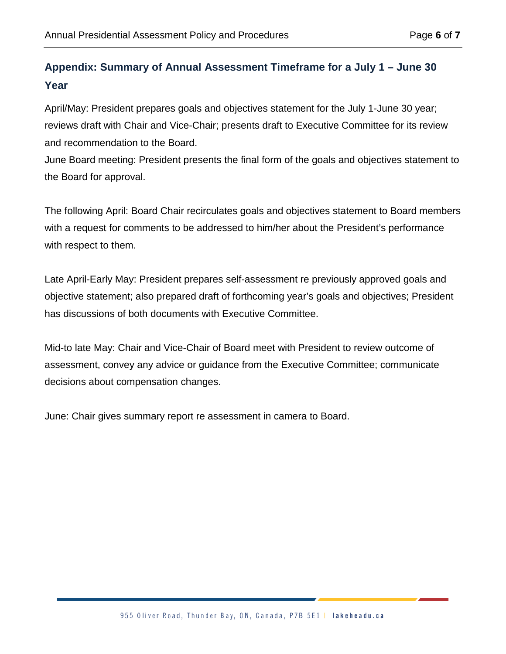### **Appendix: Summary of Annual Assessment Timeframe for a July 1 – June 30 Year**

April/May: President prepares goals and objectives statement for the July 1-June 30 year; reviews draft with Chair and Vice-Chair; presents draft to Executive Committee for its review and recommendation to the Board.

June Board meeting: President presents the final form of the goals and objectives statement to the Board for approval.

The following April: Board Chair recirculates goals and objectives statement to Board members with a request for comments to be addressed to him/her about the President's performance with respect to them.

Late April-Early May: President prepares self-assessment re previously approved goals and objective statement; also prepared draft of forthcoming year's goals and objectives; President has discussions of both documents with Executive Committee.

Mid-to late May: Chair and Vice-Chair of Board meet with President to review outcome of assessment, convey any advice or guidance from the Executive Committee; communicate decisions about compensation changes.

June: Chair gives summary report re assessment in camera to Board.